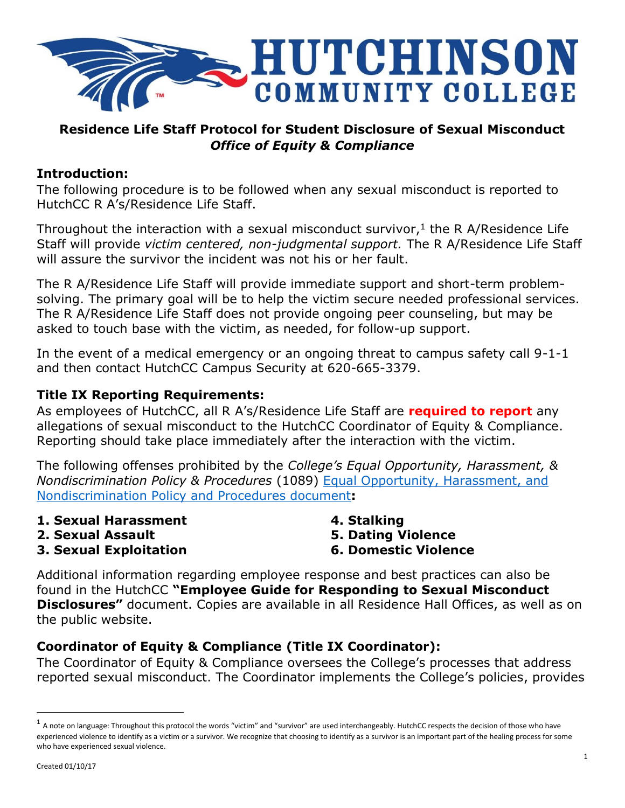

# **Residence Life Staff Protocol for Student Disclosure of Sexual Misconduct** *Office of Equity & Compliance*

#### **Introduction:**

The following procedure is to be followed when any sexual misconduct is reported to HutchCC R A's/Residence Life Staff.

Throughout the interaction with a sexual misconduct survivor, $1$  the R A/Residence Life Staff will provide *victim centered, non-judgmental support.* The R A/Residence Life Staff will assure the survivor the incident was not his or her fault.

The R A/Residence Life Staff will provide immediate support and short-term problemsolving. The primary goal will be to help the victim secure needed professional services. The R A/Residence Life Staff does not provide ongoing peer counseling, but may be asked to touch base with the victim, as needed, for follow-up support.

In the event of a medical emergency or an ongoing threat to campus safety call 9-1-1 and then contact HutchCC Campus Security at 620-665-3379.

# **Title IX Reporting Requirements:**

As employees of HutchCC, all R A's/Residence Life Staff are **required to report** any allegations of sexual misconduct to the HutchCC Coordinator of Equity & Compliance. Reporting should take place immediately after the interaction with the victim.

The following offenses prohibited by the *College's Equal Opportunity, Harassment, & Nondiscrimination Policy & Procedures* (1089) [Equal Opportunity, Harassment, and](http://www.hutchcc.edu/equity)  [Nondiscrimination Policy and Procedures document](http://www.hutchcc.edu/equity)**:**

- **1. Sexual Harassment**
- **2. Sexual Assault**

**4. Stalking**

- **5. Dating Violence**
- **6. Domestic Violence**

**3. Sexual Exploitation**

Additional information regarding employee response and best practices can also be found in the HutchCC **"Employee Guide for Responding to Sexual Misconduct Disclosures"** document. Copies are available in all Residence Hall Offices, as well as on the public website.

# **Coordinator of Equity & Compliance (Title IX Coordinator):**

The Coordinator of Equity & Compliance oversees the College's processes that address reported sexual misconduct. The Coordinator implements the College's policies, provides

 $\overline{\phantom{a}}$ 

 $^1$  A note on language: Throughout this protocol the words "victim" and "survivor" are used interchangeably. HutchCC respects the decision of those who have experienced violence to identify as a victim or a survivor. We recognize that choosing to identify as a survivor is an important part of the healing process for some who have experienced sexual violence.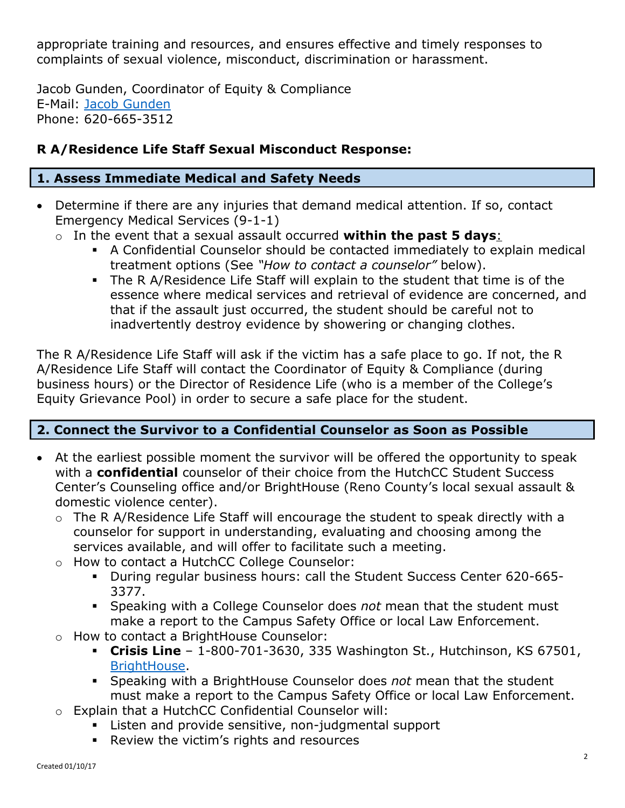appropriate training and resources, and ensures effective and timely responses to complaints of sexual violence, misconduct, discrimination or harassment.

Jacob Gunden, Coordinator of Equity & Compliance E-Mail: [Jacob Gunden](mailto:gundenj@hutchcc.edu) Phone: 620-665-3512

# **R A/Residence Life Staff Sexual Misconduct Response:**

# **1. Assess Immediate Medical and Safety Needs**

- Determine if there are any injuries that demand medical attention. If so, contact Emergency Medical Services (9-1-1)
	- o In the event that a sexual assault occurred **within the past 5 days**:
		- A Confidential Counselor should be contacted immediately to explain medical treatment options (See *"How to contact a counselor"* below).
		- The R A/Residence Life Staff will explain to the student that time is of the essence where medical services and retrieval of evidence are concerned, and that if the assault just occurred, the student should be careful not to inadvertently destroy evidence by showering or changing clothes.

The R A/Residence Life Staff will ask if the victim has a safe place to go. If not, the R A/Residence Life Staff will contact the Coordinator of Equity & Compliance (during business hours) or the Director of Residence Life (who is a member of the College's Equity Grievance Pool) in order to secure a safe place for the student.

# **2. Connect the Survivor to a Confidential Counselor as Soon as Possible**

- At the earliest possible moment the survivor will be offered the opportunity to speak with a **confidential** counselor of their choice from the HutchCC Student Success Center's Counseling office and/or BrightHouse (Reno County's local sexual assault & domestic violence center).
	- o The R A/Residence Life Staff will encourage the student to speak directly with a counselor for support in understanding, evaluating and choosing among the services available, and will offer to facilitate such a meeting.
	- o How to contact a HutchCC College Counselor:
		- During regular business hours: call the Student Success Center 620-665- 3377.
		- Speaking with a College Counselor does *not* mean that the student must make a report to the Campus Safety Office or local Law Enforcement.
	- o How to contact a BrightHouse Counselor:
		- **Crisis Line** 1-800-701-3630, 335 Washington St., Hutchinson, KS 67501, [BrightHouse.](http://www.brighthouseks.org/)
		- Speaking with a BrightHouse Counselor does *not* mean that the student must make a report to the Campus Safety Office or local Law Enforcement.
	- o Explain that a HutchCC Confidential Counselor will:
		- Listen and provide sensitive, non-judgmental support
		- Review the victim's rights and resources